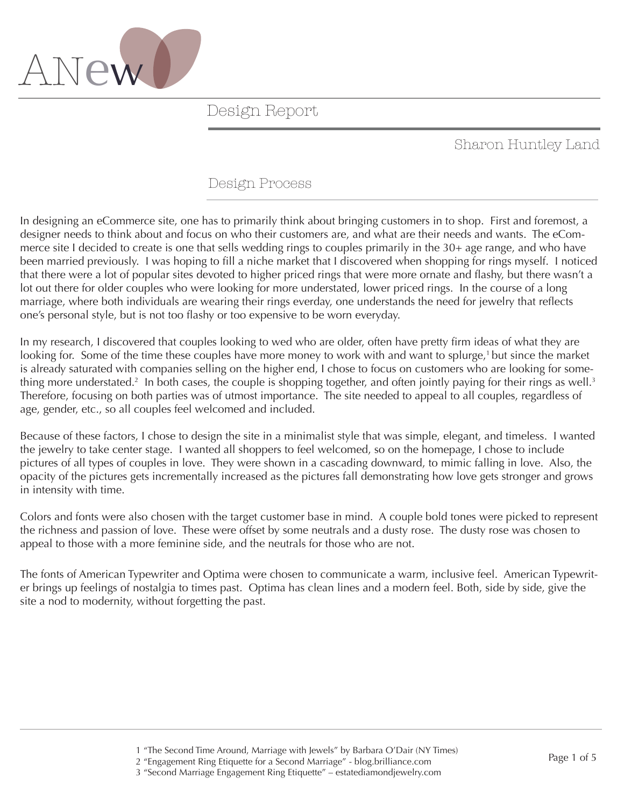

### Sharon Huntley Land

### Design Process

In designing an eCommerce site, one has to primarily think about bringing customers in to shop. First and foremost, a designer needs to think about and focus on who their customers are, and what are their needs and wants. The eCommerce site I decided to create is one that sells wedding rings to couples primarily in the 30+ age range, and who have been married previously. I was hoping to fill a niche market that I discovered when shopping for rings myself. I noticed that there were a lot of popular sites devoted to higher priced rings that were more ornate and flashy, but there wasn't a lot out there for older couples who were looking for more understated, lower priced rings. In the course of a long marriage, where both individuals are wearing their rings everday, one understands the need for jewelry that reflects one's personal style, but is not too flashy or too expensive to be worn everyday.

In my research, I discovered that couples looking to wed who are older, often have pretty firm ideas of what they are looking for. Some of the time these couples have more money to work with and want to splurge,<sup>1</sup> but since the market is already saturated with companies selling on the higher end, I chose to focus on customers who are looking for something more understated.<sup>2</sup> In both cases, the couple is shopping together, and often jointly paying for their rings as well.<sup>3</sup> Therefore, focusing on both parties was of utmost importance. The site needed to appeal to all couples, regardless of age, gender, etc., so all couples feel welcomed and included.

Because of these factors, I chose to design the site in a minimalist style that was simple, elegant, and timeless. I wanted the jewelry to take center stage. I wanted all shoppers to feel welcomed, so on the homepage, I chose to include pictures of all types of couples in love. They were shown in a cascading downward, to mimic falling in love. Also, the opacity of the pictures gets incrementally increased as the pictures fall demonstrating how love gets stronger and grows in intensity with time.

Colors and fonts were also chosen with the target customer base in mind. A couple bold tones were picked to represent the richness and passion of love. These were offset by some neutrals and a dusty rose. The dusty rose was chosen to appeal to those with a more feminine side, and the neutrals for those who are not.

The fonts of American Typewriter and Optima were chosen to communicate a warm, inclusive feel. American Typewriter brings up feelings of nostalgia to times past. Optima has clean lines and a modern feel. Both, side by side, give the site a nod to modernity, without forgetting the past.

 <sup>1 &</sup>quot;The Second Time Around, Marriage with Jewels" by Barbara O'Dair (NY Times)

 <sup>2 &</sup>quot;Engagement Ring Etiquette for a Second Marriage" - blog.brilliance.com

 <sup>3 &</sup>quot;Second Marriage Engagement Ring Etiquette" – estatediamondjewelry.com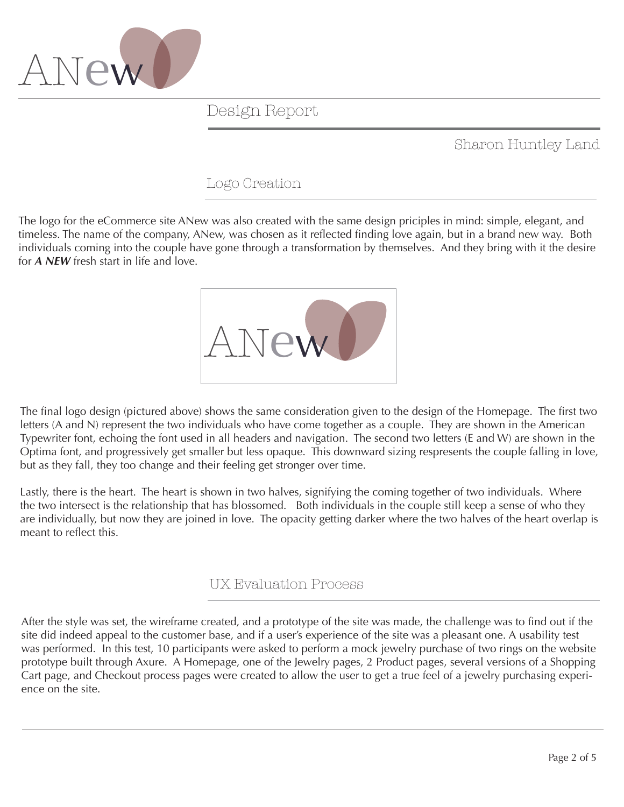

Sharon Huntley Land

### Logo Creation

The logo for the eCommerce site ANew was also created with the same design priciples in mind: simple, elegant, and timeless. The name of the company, ANew, was chosen as it reflected finding love again, but in a brand new way. Both individuals coming into the couple have gone through a transformation by themselves. And they bring with it the desire for *A NEW* fresh start in life and love.



The final logo design (pictured above) shows the same consideration given to the design of the Homepage. The first two letters (A and N) represent the two individuals who have come together as a couple. They are shown in the American Typewriter font, echoing the font used in all headers and navigation. The second two letters (E and W) are shown in the Optima font, and progressively get smaller but less opaque. This downward sizing respresents the couple falling in love, but as they fall, they too change and their feeling get stronger over time.

Lastly, there is the heart. The heart is shown in two halves, signifying the coming together of two individuals. Where the two intersect is the relationship that has blossomed. Both individuals in the couple still keep a sense of who they are individually, but now they are joined in love. The opacity getting darker where the two halves of the heart overlap is meant to reflect this.

### UX Evaluation Process

After the style was set, the wireframe created, and a prototype of the site was made, the challenge was to find out if the site did indeed appeal to the customer base, and if a user's experience of the site was a pleasant one. A usability test was performed. In this test, 10 participants were asked to perform a mock jewelry purchase of two rings on the website prototype built through Axure. A Homepage, one of the Jewelry pages, 2 Product pages, several versions of a Shopping Cart page, and Checkout process pages were created to allow the user to get a true feel of a jewelry purchasing experience on the site.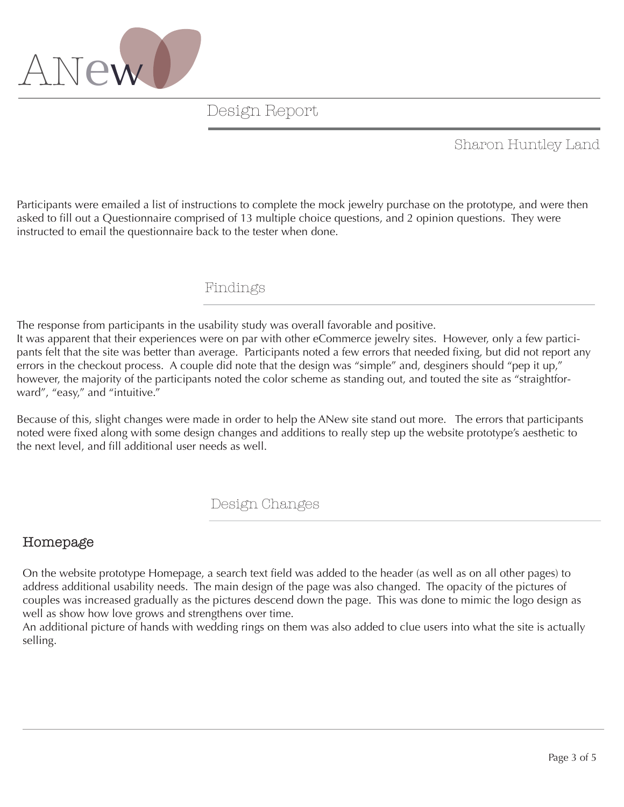

## Sharon Huntley Land

Participants were emailed a list of instructions to complete the mock jewelry purchase on the prototype, and were then asked to fill out a Questionnaire comprised of 13 multiple choice questions, and 2 opinion questions. They were instructed to email the questionnaire back to the tester when done.

#### Findings

The response from participants in the usability study was overall favorable and positive. It was apparent that their experiences were on par with other eCommerce jewelry sites. However, only a few participants felt that the site was better than average. Participants noted a few errors that needed fixing, but did not report any errors in the checkout process. A couple did note that the design was "simple" and, desginers should "pep it up," however, the majority of the participants noted the color scheme as standing out, and touted the site as "straightforward", "easy," and "intuitive."

Because of this, slight changes were made in order to help the ANew site stand out more. The errors that participants noted were fixed along with some design changes and additions to really step up the website prototype's aesthetic to the next level, and fill additional user needs as well.

### Design Changes

### Homepage

On the website prototype Homepage, a search text field was added to the header (as well as on all other pages) to address additional usability needs. The main design of the page was also changed. The opacity of the pictures of couples was increased gradually as the pictures descend down the page. This was done to mimic the logo design as well as show how love grows and strengthens over time.

An additional picture of hands with wedding rings on them was also added to clue users into what the site is actually selling.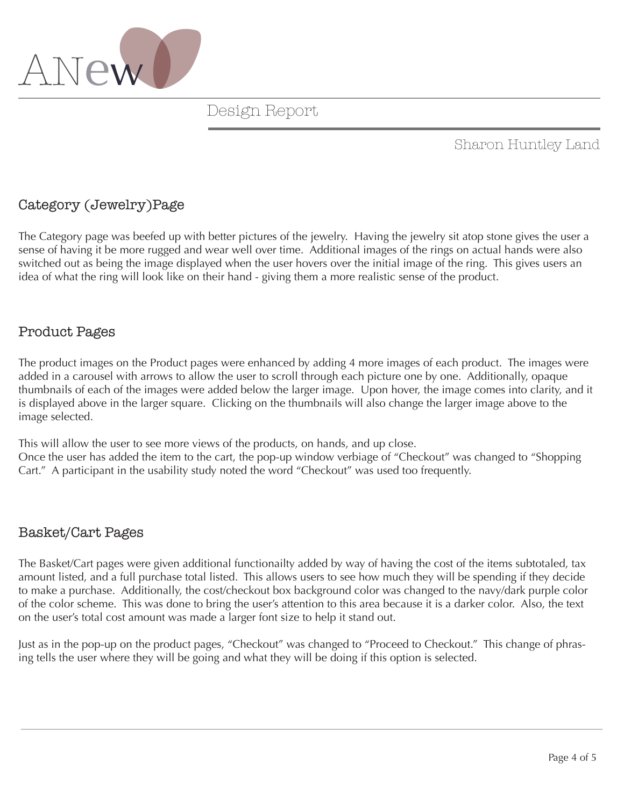

### Sharon Huntley Land

### Category (Jewelry)Page

The Category page was beefed up with better pictures of the jewelry. Having the jewelry sit atop stone gives the user a sense of having it be more rugged and wear well over time. Additional images of the rings on actual hands were also switched out as being the image displayed when the user hovers over the initial image of the ring. This gives users an idea of what the ring will look like on their hand - giving them a more realistic sense of the product.

#### Product Pages

The product images on the Product pages were enhanced by adding 4 more images of each product. The images were added in a carousel with arrows to allow the user to scroll through each picture one by one. Additionally, opaque thumbnails of each of the images were added below the larger image. Upon hover, the image comes into clarity, and it is displayed above in the larger square. Clicking on the thumbnails will also change the larger image above to the image selected.

This will allow the user to see more views of the products, on hands, and up close. Once the user has added the item to the cart, the pop-up window verbiage of "Checkout" was changed to "Shopping Cart." A participant in the usability study noted the word "Checkout" was used too frequently.

#### Basket/Cart Pages

The Basket/Cart pages were given additional functionailty added by way of having the cost of the items subtotaled, tax amount listed, and a full purchase total listed. This allows users to see how much they will be spending if they decide to make a purchase. Additionally, the cost/checkout box background color was changed to the navy/dark purple color of the color scheme. This was done to bring the user's attention to this area because it is a darker color. Also, the text on the user's total cost amount was made a larger font size to help it stand out.

Just as in the pop-up on the product pages, "Checkout" was changed to "Proceed to Checkout." This change of phrasing tells the user where they will be going and what they will be doing if this option is selected.